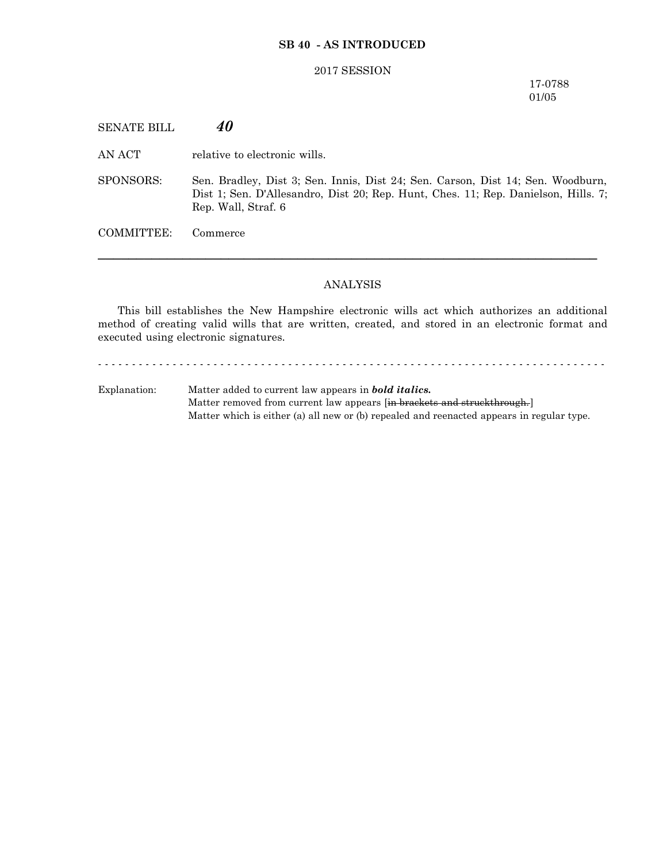## **SB 40 - AS INTRODUCED**

#### 2017 SESSION

17-0788 01/05

SENATE BILL *40* AN ACT relative to electronic wills. SPONSORS: Sen. Bradley, Dist 3; Sen. Innis, Dist 24; Sen. Carson, Dist 14; Sen. Woodburn, Dist 1; Sen. D'Allesandro, Dist 20; Rep. Hunt, Ches. 11; Rep. Danielson, Hills. 7; Rep. Wall, Straf. 6 COMMITTEE: Commerce

### ANALYSIS

─────────────────────────────────────────────────────────────────

This bill establishes the New Hampshire electronic wills act which authorizes an additional method of creating valid wills that are written, created, and stored in an electronic format and executed using electronic signatures.

Explanation: Matter added to current law appears in *bold italics.* Matter removed from current law appears [in brackets and struckthrough.] Matter which is either (a) all new or (b) repealed and reenacted appears in regular type.

- - - - - - - - - - - - - - - - - - - - - - - - - - - - - - - - - - - - - - - - - - - - - - - - - - - - - - - - - - - - - - - - - - - - - - - - - - -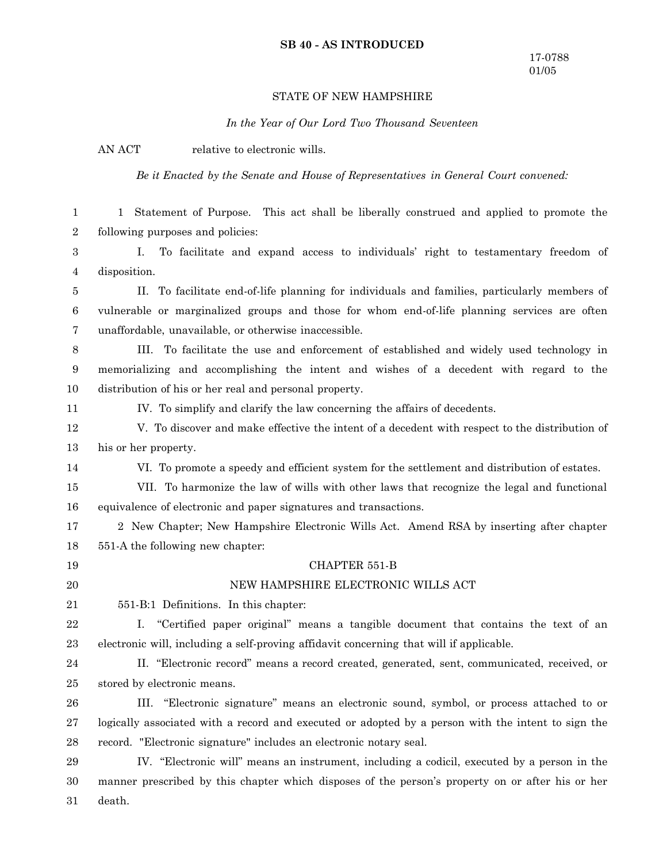### **SB 40 - AS INTRODUCED**

## STATE OF NEW HAMPSHIRE

*In the Year of Our Lord Two Thousand Seventeen*

AN ACT relative to electronic wills.

*Be it Enacted by the Senate and House of Representatives in General Court convened:*

1 Statement of Purpose. This act shall be liberally construed and applied to promote the following purposes and policies: I. To facilitate and expand access to individuals' right to testamentary freedom of disposition. II. To facilitate end-of-life planning for individuals and families, particularly members of vulnerable or marginalized groups and those for whom end-of-life planning services are often unaffordable, unavailable, or otherwise inaccessible. III. To facilitate the use and enforcement of established and widely used technology in memorializing and accomplishing the intent and wishes of a decedent with regard to the distribution of his or her real and personal property. IV. To simplify and clarify the law concerning the affairs of decedents. V. To discover and make effective the intent of a decedent with respect to the distribution of his or her property. VI. To promote a speedy and efficient system for the settlement and distribution of estates. VII. To harmonize the law of wills with other laws that recognize the legal and functional equivalence of electronic and paper signatures and transactions. 2 New Chapter; New Hampshire Electronic Wills Act. Amend RSA by inserting after chapter 551-A the following new chapter: CHAPTER 551-B NEW HAMPSHIRE ELECTRONIC WILLS ACT 551-B:1 Definitions. In this chapter: I. "Certified paper original" means a tangible document that contains the text of an electronic will, including a self-proving affidavit concerning that will if applicable. II. "Electronic record" means a record created, generated, sent, communicated, received, or stored by electronic means. III. "Electronic signature" means an electronic sound, symbol, or process attached to or logically associated with a record and executed or adopted by a person with the intent to sign the record. "Electronic signature" includes an electronic notary seal. IV. "Electronic will" means an instrument, including a codicil, executed by a person in the manner prescribed by this chapter which disposes of the person's property on or after his or her death. 1 2 3 4 5 6 7 8 9 10 11 12 13 14 15 16 17 18 19 20 21 22 23 24 25 26 27 28 29 30 31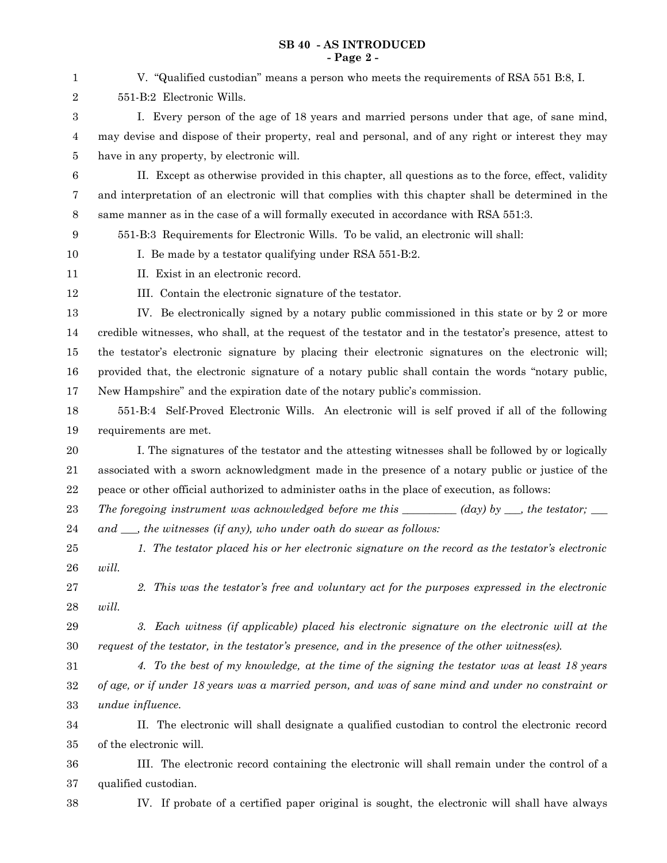## **SB 40 - AS INTRODUCED - Page 2 -**

| 1                | V. "Qualified custodian" means a person who meets the requirements of RSA 551 B:8, I.                            |
|------------------|------------------------------------------------------------------------------------------------------------------|
| $\boldsymbol{2}$ | 551-B:2 Electronic Wills.                                                                                        |
| $\boldsymbol{3}$ | I. Every person of the age of 18 years and married persons under that age, of sane mind,                         |
| 4                | may devise and dispose of their property, real and personal, and of any right or interest they may               |
| 5                | have in any property, by electronic will.                                                                        |
| $\,6$            | II. Except as otherwise provided in this chapter, all questions as to the force, effect, validity                |
| 7                | and interpretation of an electronic will that complies with this chapter shall be determined in the              |
| $\,8\,$          | same manner as in the case of a will formally executed in accordance with RSA 551:3.                             |
| 9                | 551-B:3 Requirements for Electronic Wills. To be valid, an electronic will shall:                                |
| 10               | I. Be made by a testator qualifying under RSA 551-B:2.                                                           |
| 11               | II. Exist in an electronic record.                                                                               |
| 12               | III. Contain the electronic signature of the testator.                                                           |
| 13               | IV. Be electronically signed by a notary public commissioned in this state or by 2 or more                       |
| 14               | credible witnesses, who shall, at the request of the testator and in the testator's presence, attest to          |
| 15               | the testator's electronic signature by placing their electronic signatures on the electronic will;               |
| 16               | provided that, the electronic signature of a notary public shall contain the words "notary public,               |
| 17               | New Hampshire" and the expiration date of the notary public's commission.                                        |
| 18               | 551-B:4 Self-Proved Electronic Wills. An electronic will is self proved if all of the following                  |
| 19               | requirements are met.                                                                                            |
| 20               | I. The signatures of the testator and the attesting witnesses shall be followed by or logically                  |
| 21               | associated with a sworn acknowledgment made in the presence of a notary public or justice of the                 |
| $\bf{22}$        | peace or other official authorized to administer oaths in the place of execution, as follows:                    |
| 23               | The foregoing instrument was acknowledged before me this $\_\_\_\_$ (day) by $\_\_\_$ , the testator; $\_\_\_\_$ |
| 24               | and $\_\_$ , the witnesses (if any), who under oath do swear as follows:                                         |
| $25\,$           | 1. The testator placed his or her electronic signature on the record as the testator's electronic                |
| ${\bf 26}$       | will.                                                                                                            |
| $\sqrt{27}$      | 2. This was the testator's free and voluntary act for the purposes expressed in the electronic                   |
| $\bf 28$         | will.                                                                                                            |
| $\bf 29$         | 3. Each witness (if applicable) placed his electronic signature on the electronic will at the                    |
| $30\,$           | request of the testator, in the testator's presence, and in the presence of the other witness(es).               |
| 31               | 4. To the best of my knowledge, at the time of the signing the testator was at least 18 years                    |
| $32\,$           | of age, or if under 18 years was a married person, and was of sane mind and under no constraint or               |
| 33               | undue influence.                                                                                                 |
| 34               | II. The electronic will shall designate a qualified custodian to control the electronic record                   |
| 35               | of the electronic will.                                                                                          |
| 36               | III. The electronic record containing the electronic will shall remain under the control of a                    |
| $37\,$           | qualified custodian.                                                                                             |
| $38\,$           | IV. If probate of a certified paper original is sought, the electronic will shall have always                    |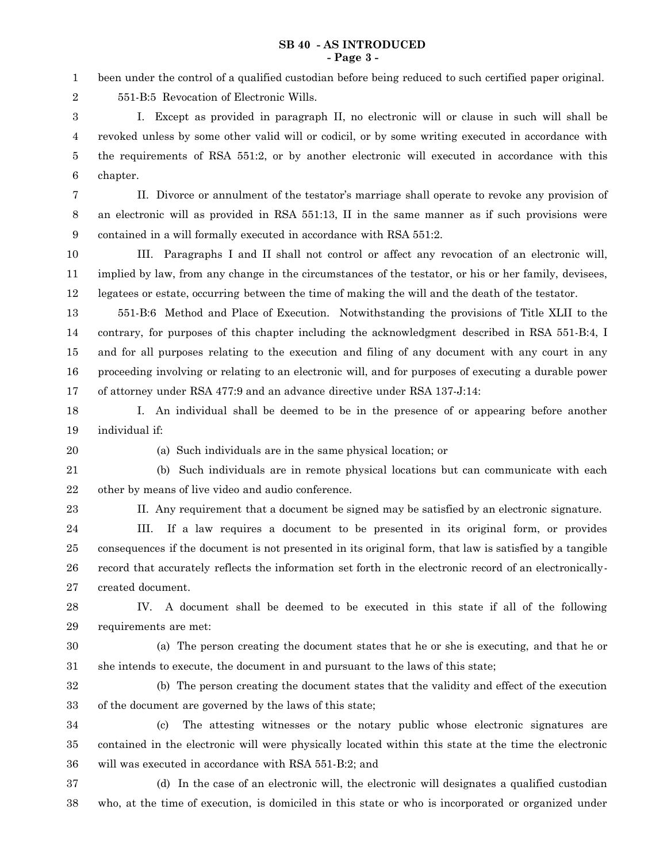### **SB 40 - AS INTRODUCED - Page 3 -**

been under the control of a qualified custodian before being reduced to such certified paper original. 1

551-B:5 Revocation of Electronic Wills.

I. Except as provided in paragraph II, no electronic will or clause in such will shall be revoked unless by some other valid will or codicil, or by some writing executed in accordance with the requirements of RSA 551:2, or by another electronic will executed in accordance with this chapter. 3 4 5 6

II. Divorce or annulment of the testator's marriage shall operate to revoke any provision of an electronic will as provided in RSA 551:13, II in the same manner as if such provisions were contained in a will formally executed in accordance with RSA 551:2. 7 8 9

III. Paragraphs I and II shall not control or affect any revocation of an electronic will, implied by law, from any change in the circumstances of the testator, or his or her family, devisees, legatees or estate, occurring between the time of making the will and the death of the testator. 10 11 12

551-B:6 Method and Place of Execution. Notwithstanding the provisions of Title XLII to the contrary, for purposes of this chapter including the acknowledgment described in RSA 551-B:4, I and for all purposes relating to the execution and filing of any document with any court in any proceeding involving or relating to an electronic will, and for purposes of executing a durable power of attorney under RSA 477:9 and an advance directive under RSA 137-J:14: 13 14 15 16 17

I. An individual shall be deemed to be in the presence of or appearing before another individual if: 18 19

20

2

(a) Such individuals are in the same physical location; or

(b) Such individuals are in remote physical locations but can communicate with each other by means of live video and audio conference. 21 22

23

II. Any requirement that a document be signed may be satisfied by an electronic signature.

III. If a law requires a document to be presented in its original form, or provides consequences if the document is not presented in its original form, that law is satisfied by a tangible record that accurately reflects the information set forth in the electronic record of an electronicallycreated document. 24 25 26 27

IV. A document shall be deemed to be executed in this state if all of the following requirements are met: 28 29

30

(a) The person creating the document states that he or she is executing, and that he or she intends to execute, the document in and pursuant to the laws of this state; 31

32

(b) The person creating the document states that the validity and effect of the execution of the document are governed by the laws of this state; 33

(c) The attesting witnesses or the notary public whose electronic signatures are contained in the electronic will were physically located within this state at the time the electronic will was executed in accordance with RSA 551-B:2; and 34 35 36

(d) In the case of an electronic will, the electronic will designates a qualified custodian who, at the time of execution, is domiciled in this state or who is incorporated or organized under 37 38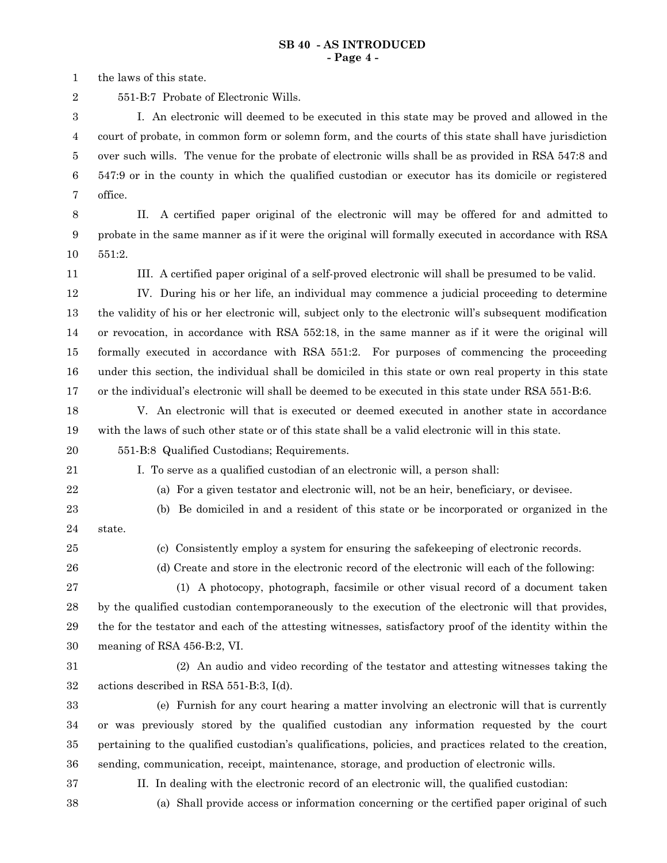the laws of this state. 1

551-B:7 Probate of Electronic Wills. 2

I. An electronic will deemed to be executed in this state may be proved and allowed in the court of probate, in common form or solemn form, and the courts of this state shall have jurisdiction over such wills. The venue for the probate of electronic wills shall be as provided in RSA 547:8 and 547:9 or in the county in which the qualified custodian or executor has its domicile or registered office. 3 4 5 6 7

8

II. A certified paper original of the electronic will may be offered for and admitted to probate in the same manner as if it were the original will formally executed in accordance with RSA 551:2. 9 10

11

III. A certified paper original of a self-proved electronic will shall be presumed to be valid.

IV. During his or her life, an individual may commence a judicial proceeding to determine the validity of his or her electronic will, subject only to the electronic will's subsequent modification or revocation, in accordance with RSA 552:18, in the same manner as if it were the original will formally executed in accordance with RSA 551:2. For purposes of commencing the proceeding under this section, the individual shall be domiciled in this state or own real property in this state or the individual's electronic will shall be deemed to be executed in this state under RSA 551-B:6. 12 13 14 15 16 17

V. An electronic will that is executed or deemed executed in another state in accordance with the laws of such other state or of this state shall be a valid electronic will in this state. 18 19

- 551-B:8 Qualified Custodians; Requirements. 20
- 21 22

I. To serve as a qualified custodian of an electronic will, a person shall:

(a) For a given testator and electronic will, not be an heir, beneficiary, or devisee.

- (b) Be domiciled in and a resident of this state or be incorporated or organized in the state. 23 24
- 25

(c) Consistently employ a system for ensuring the safekeeping of electronic records.

26

(d) Create and store in the electronic record of the electronic will each of the following:

(1) A photocopy, photograph, facsimile or other visual record of a document taken by the qualified custodian contemporaneously to the execution of the electronic will that provides, the for the testator and each of the attesting witnesses, satisfactory proof of the identity within the meaning of RSA 456-B:2, VI. 27 28 29 30

31 32

(2) An audio and video recording of the testator and attesting witnesses taking the actions described in RSA 551-B:3, I(d).

(e) Furnish for any court hearing a matter involving an electronic will that is currently or was previously stored by the qualified custodian any information requested by the court pertaining to the qualified custodian's qualifications, policies, and practices related to the creation, sending, communication, receipt, maintenance, storage, and production of electronic wills. 33 34 35 36

37

II. In dealing with the electronic record of an electronic will, the qualified custodian:

38

(a) Shall provide access or information concerning or the certified paper original of such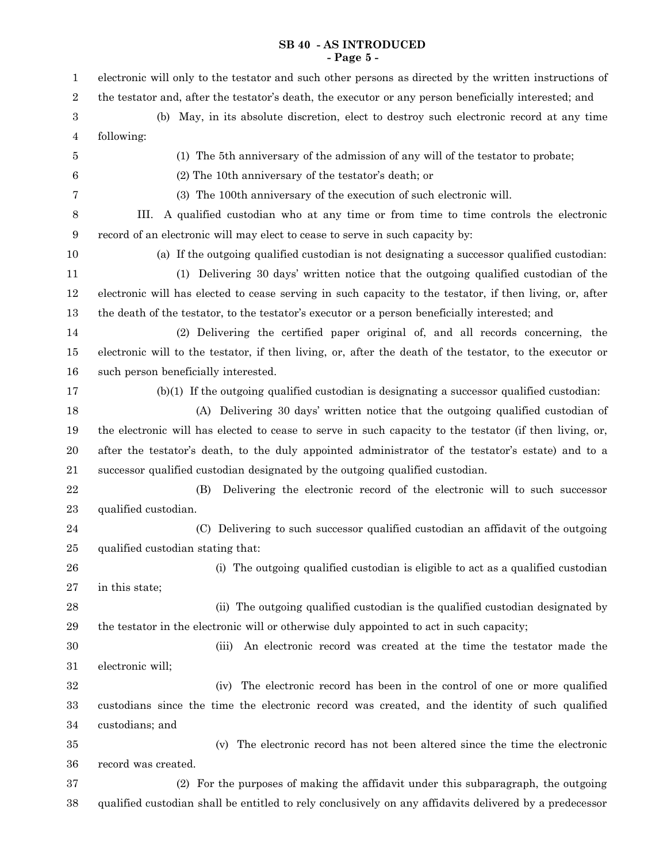# **SB 40 - AS INTRODUCED - Page 5 -**

| $\mathbf{1}$   | electronic will only to the testator and such other persons as directed by the written instructions of   |
|----------------|----------------------------------------------------------------------------------------------------------|
| $\overline{2}$ | the testator and, after the testator's death, the executor or any person beneficially interested; and    |
| 3              | (b) May, in its absolute discretion, elect to destroy such electronic record at any time                 |
| 4              | following:                                                                                               |
| 5              | (1) The 5th anniversary of the admission of any will of the testator to probate;                         |
| $\,6$          | (2) The 10th anniversary of the testator's death; or                                                     |
| 7              | (3) The 100th anniversary of the execution of such electronic will.                                      |
| 8              | A qualified custodian who at any time or from time to time controls the electronic<br>III.               |
| 9              | record of an electronic will may elect to cease to serve in such capacity by:                            |
| 10             | (a) If the outgoing qualified custodian is not designating a successor qualified custodian:              |
| 11             | (1) Delivering 30 days' written notice that the outgoing qualified custodian of the                      |
| 12             | electronic will has elected to cease serving in such capacity to the testator, if then living, or, after |
| 13             | the death of the testator, to the testator's executor or a person beneficially interested; and           |
| 14             | (2) Delivering the certified paper original of, and all records concerning, the                          |
| 15             | electronic will to the testator, if then living, or, after the death of the testator, to the executor or |
| 16             | such person beneficially interested.                                                                     |
| 17             | $(b)(1)$ If the outgoing qualified custodian is designating a successor qualified custodian:             |
| 18             | (A) Delivering 30 days' written notice that the outgoing qualified custodian of                          |
| 19             | the electronic will has elected to cease to serve in such capacity to the testator (if then living, or,  |
| 20             | after the testator's death, to the duly appointed administrator of the testator's estate) and to a       |
| 21             | successor qualified custodian designated by the outgoing qualified custodian.                            |
| 22             | Delivering the electronic record of the electronic will to such successor<br>(B)                         |
| 23             | qualified custodian.                                                                                     |
| 24             | (C) Delivering to such successor qualified custodian an affidavit of the outgoing                        |
| 25             | qualified custodian stating that:                                                                        |
| 26             | (i) The outgoing qualified custodian is eligible to act as a qualified custodian                         |
| 27             | in this state;                                                                                           |
| 28             | (ii) The outgoing qualified custodian is the qualified custodian designated by                           |
| 29             | the testator in the electronic will or otherwise duly appointed to act in such capacity;                 |
| 30             | An electronic record was created at the time the testator made the<br>(iii)                              |
| 31             | electronic will;                                                                                         |
| 32             | The electronic record has been in the control of one or more qualified<br>(iv)                           |
| 33             | custodians since the time the electronic record was created, and the identity of such qualified          |
| 34             | custodians; and                                                                                          |
| 35             | The electronic record has not been altered since the time the electronic<br>(v)                          |
| 36             | record was created.                                                                                      |
| 37             | (2) For the purposes of making the affidavit under this subparagraph, the outgoing                       |
| 38             | qualified custodian shall be entitled to rely conclusively on any affidavits delivered by a predecessor  |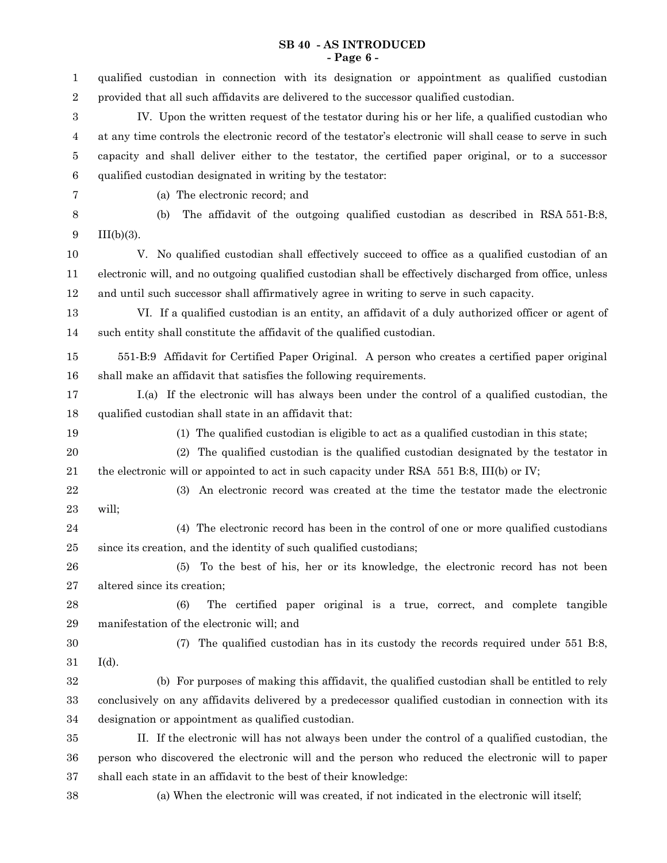# **SB 40 - AS INTRODUCED - Page 6 -**

| 1                | qualified custodian in connection with its designation or appointment as qualified custodian              |
|------------------|-----------------------------------------------------------------------------------------------------------|
| $\,2$            | provided that all such affidavits are delivered to the successor qualified custodian.                     |
| $\boldsymbol{3}$ | IV. Upon the written request of the testator during his or her life, a qualified custodian who            |
| 4                | at any time controls the electronic record of the testator's electronic will shall cease to serve in such |
| 5                | capacity and shall deliver either to the testator, the certified paper original, or to a successor        |
| 6                | qualified custodian designated in writing by the testator:                                                |
| 7                | (a) The electronic record; and                                                                            |
| 8                | The affidavit of the outgoing qualified custodian as described in RSA 551-B:8,<br>(b)                     |
| 9                | $III(b)(3)$ .                                                                                             |
| 10               | V. No qualified custodian shall effectively succeed to office as a qualified custodian of an              |
| 11               | electronic will, and no outgoing qualified custodian shall be effectively discharged from office, unless  |
| 12               | and until such successor shall affirmatively agree in writing to serve in such capacity.                  |
| 13               | VI. If a qualified custodian is an entity, an affidavit of a duly authorized officer or agent of          |
| 14               | such entity shall constitute the affidavit of the qualified custodian.                                    |
| 15               | 551-B:9 Affidavit for Certified Paper Original. A person who creates a certified paper original           |
| 16               | shall make an affidavit that satisfies the following requirements.                                        |
| 17               | I.(a) If the electronic will has always been under the control of a qualified custodian, the              |
| 18               | qualified custodian shall state in an affidavit that:                                                     |
| 19               | (1) The qualified custodian is eligible to act as a qualified custodian in this state;                    |
| 20               | The qualified custodian is the qualified custodian designated by the testator in<br>(2)                   |
| 21               | the electronic will or appointed to act in such capacity under RSA 551 B:8, III(b) or IV;                 |
| 22               | An electronic record was created at the time the testator made the electronic<br>(3)                      |
| 23               | will;                                                                                                     |
| 24               | (4) The electronic record has been in the control of one or more qualified custodians                     |
| 25               | since its creation, and the identity of such qualified custodians;                                        |
| 26               | To the best of his, her or its knowledge, the electronic record has not been<br>(5)                       |
| 27               | altered since its creation;                                                                               |
| 28               | (6)<br>The certified paper original is a true, correct, and complete tangible                             |
| 29               | manifestation of the electronic will; and                                                                 |
| 30               | The qualified custodian has in its custody the records required under 551 B:8,<br>(7)                     |
| $31\,$           | $I(d)$ .                                                                                                  |
| $32\,$           | (b) For purposes of making this affidavit, the qualified custodian shall be entitled to rely              |
| 33               | conclusively on any affidavits delivered by a predecessor qualified custodian in connection with its      |
| 34               | designation or appointment as qualified custodian.                                                        |
| $35\,$           | II. If the electronic will has not always been under the control of a qualified custodian, the            |
| 36               | person who discovered the electronic will and the person who reduced the electronic will to paper         |
| 37               | shall each state in an affidavit to the best of their knowledge:                                          |
| 38               | (a) When the electronic will was created, if not indicated in the electronic will itself;                 |